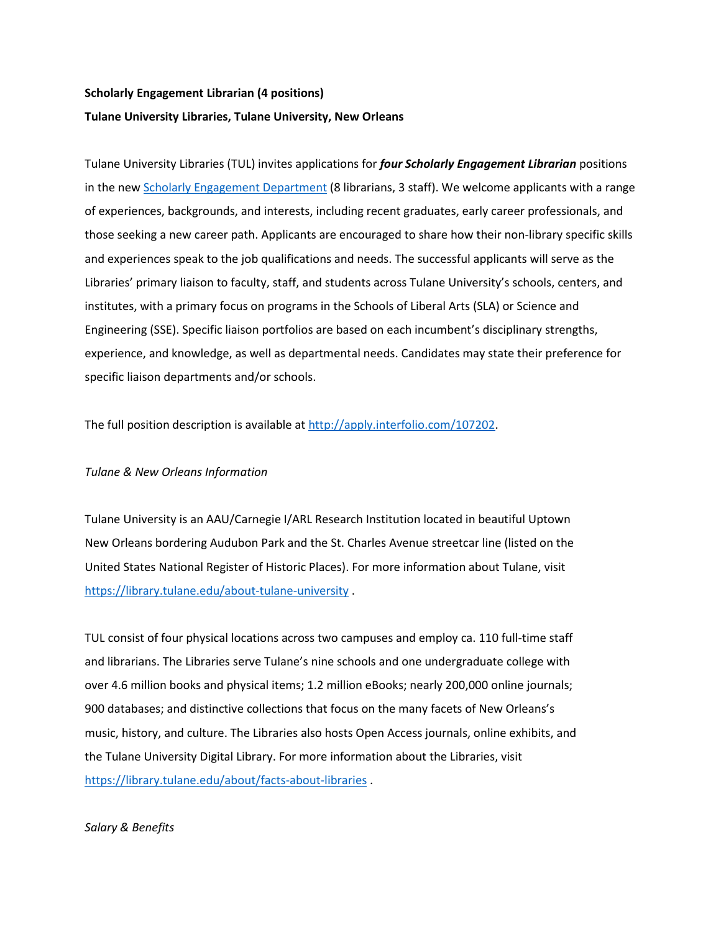# **Scholarly Engagement Librarian (4 positions) Tulane University Libraries, Tulane University, New Orleans**

Tulane University Libraries (TUL) invites applications for *four Scholarly Engagement Librarian* positions in the new **Scholarly Engagement Department** (8 librarians, 3 staff). We welcome applicants with a range of experiences, backgrounds, and interests, including recent graduates, early career professionals, and those seeking a new career path. Applicants are encouraged to share how their non-library specific skills and experiences speak to the job qualifications and needs. The successful applicants will serve as the Libraries' primary liaison to faculty, staff, and students across Tulane University's schools, centers, and institutes, with a primary focus on programs in the Schools of Liberal Arts (SLA) or Science and Engineering (SSE). Specific liaison portfolios are based on each incumbent's disciplinary strengths, experience, and knowledge, as well as departmental needs. Candidates may state their preference for specific liaison departments and/or schools.

The full position description is available at [http://apply.interfolio.com/107202.](http://apply.interfolio.com/107202)

## *Tulane & New Orleans Information*

Tulane University is an AAU/Carnegie I/ARL Research Institution located in beautiful Uptown New Orleans bordering Audubon Park and the St. Charles Avenue streetcar line (listed on the United States National Register of Historic Places). For more information about Tulane, visit <https://library.tulane.edu/about-tulane-university> .

TUL consist of four physical locations across two campuses and employ ca. 110 full-time staff and librarians. The Libraries serve Tulane's nine schools and one undergraduate college with over 4.6 million books and physical items; 1.2 million eBooks; nearly 200,000 online journals; 900 databases; and distinctive collections that focus on the many facets of New Orleans's music, history, and culture. The Libraries also hosts Open Access journals, online exhibits, and the Tulane University Digital Library. For more information about the Libraries, visit <https://library.tulane.edu/about/facts-about-libraries> .

### *Salary & Benefits*